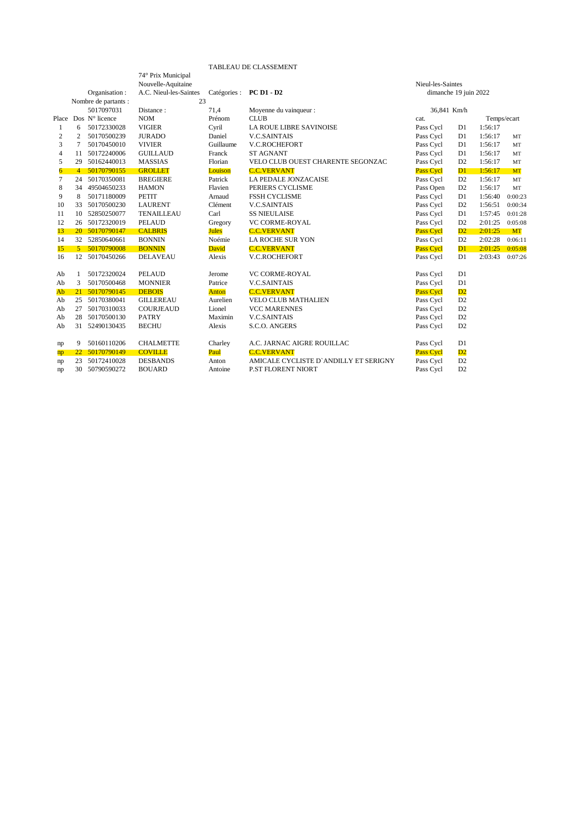## TABLEAU DE CLASSEMENT

|                |                                          |                         |                    |              | TABLEAU DE CLASSEMENT                 |                       |                |             |           |
|----------------|------------------------------------------|-------------------------|--------------------|--------------|---------------------------------------|-----------------------|----------------|-------------|-----------|
|                |                                          |                         | 74° Prix Municipal |              |                                       |                       |                |             |           |
|                |                                          |                         | Nouvelle-Aquitaine |              | Nieul-les-Saintes                     |                       |                |             |           |
|                | A.C. Nieul-les-Saintes<br>Organisation : |                         |                    | Catégories : | <b>PC D1 - D2</b>                     | dimanche 19 juin 2022 |                |             |           |
|                |                                          | Nombre de partants :    | 23                 |              |                                       |                       |                |             |           |
|                |                                          | 5017097031              | Distance:          | 71,4         | Moyenne du vainqueur :                | 36,841 Km/h           |                |             |           |
| Place          |                                          | Dos $N^{\circ}$ licence | <b>NOM</b>         | Prénom       | <b>CLUB</b>                           | cat.                  |                | Temps/ecart |           |
| -1             | 6                                        | 50172330028             | <b>VIGIER</b>      | Cyril        | <b>LA ROUE LIBRE SAVINOISE</b>        | Pass Cycl             | D1             | 1:56:17     |           |
| 2              | $\overline{c}$                           | 50170500239             | <b>JURADO</b>      | Daniel       | <b>V.C.SAINTAIS</b>                   | Pass Cycl             | D1             | 1:56:17     | MT        |
| 3              |                                          | 50170450010             | <b>VIVIER</b>      | Guillaume    | V.C.ROCHEFORT                         | Pass Cycl             | D1             | 1:56:17     | MT        |
| $\overline{4}$ | 11                                       | 50172240006             | <b>GUILLAUD</b>    | Franck       | <b>ST AGNANT</b>                      | Pass Cycl             | D <sub>1</sub> | 1:56:17     | MT        |
| 5              | 29                                       | 50162440013             | <b>MASSIAS</b>     | Florian      | VELO CLUB OUEST CHARENTE SEGONZAC     | Pass Cycl             | D2             | 1:56:17     | MT        |
| 6              | 4                                        | 50170790155             | <b>GROLLET</b>     | Louison      | <b>C.C.VERVANT</b>                    | <b>Pass Cycl</b>      | $\mathbf{D}1$  | 1:56:17     | <b>MT</b> |
| 7              | 24                                       | 50170350081             | <b>BREGIERE</b>    | Patrick      | LA PEDALE JONZACAISE                  | Pass Cycl             | D <sub>2</sub> | 1:56:17     | MT        |
| 8              | 34                                       | 49504650233             | <b>HAMON</b>       | Flavien      | PERIERS CYCLISME                      | Pass Open             | D <sub>2</sub> | 1:56:17     | MT        |
| 9              | 8                                        | 50171180009             | <b>PETIT</b>       | Arnaud       | <b>FSSH CYCLISME</b>                  | Pass Cycl             | D1             | 1:56:40     | 0:00:23   |
| 10             | 33                                       | 50170500230             | <b>LAURENT</b>     | Clément      | <b>V.C.SAINTAIS</b>                   | Pass Cycl             | D <sub>2</sub> | 1:56:51     | 0:00:34   |
| 11             | 10                                       | 52850250077             | <b>TENAILLEAU</b>  | Carl         | <b>SS NIEULAISE</b>                   | Pass Cycl             | D1             | 1:57:45     | 0:01:28   |
| 12             | 26                                       | 50172320019             | <b>PELAUD</b>      | Gregory      | VC CORME-ROYAL                        | Pass Cycl             | D <sub>2</sub> | 2:01:25     | 0:05:08   |
| 13             |                                          | 20 50170790147          | <b>CALBRIS</b>     | Jules        | <b>C.C.VERVANT</b>                    | Pass Cycl             | D2             | 2:01:25     | <b>MT</b> |
| 14             |                                          | 32 52850640661          | <b>BONNIN</b>      | Noémie       | LA ROCHE SUR YON                      | Pass Cycl             | D <sub>2</sub> | 2:02:28     | 0:06:11   |
| 15             | $5 -$                                    | 50170790008             | <b>BONNIN</b>      | David        | <b>C.C.VERVANT</b>                    | <b>Pass Cycl</b>      | $\mathbf{D}1$  | 2:01:25     | 0:05:08   |
| 16             |                                          | 12 50170450266          | <b>DELAVEAU</b>    | Alexis       | <b>V.C.ROCHEFORT</b>                  | Pass Cycl             | D1             | 2:03:43     | 0:07:26   |
| Ab             |                                          | 50172320024             | <b>PELAUD</b>      | Jerome       | VC CORME-ROYAL                        | Pass Cycl             | D1             |             |           |
| Ab             | 3                                        | 50170500468             | <b>MONNIER</b>     | Patrice      | <b>V.C.SAINTAIS</b>                   | Pass Cycl             | D1             |             |           |
| Ab             | 21                                       | 50170790145             | <b>DEBOIS</b>      | Anton        | <b>C.C.VERVANT</b>                    | Pass Cycl             | D2             |             |           |
| Ab             | 25                                       | 50170380041             | <b>GILLEREAU</b>   | Aurelien     | <b>VELO CLUB MATHALIEN</b>            | Pass Cycl             | D <sub>2</sub> |             |           |
| Ab             | 27                                       | 50170310033             | <b>COURJEAUD</b>   | Lionel       | <b>VCC MARENNES</b>                   | Pass Cycl             | D <sub>2</sub> |             |           |
| Ab             | 28                                       | 50170500130             | <b>PATRY</b>       | Maximin      | <b>V.C.SAINTAIS</b>                   | Pass Cycl             | D <sub>2</sub> |             |           |
| Ab             | 31                                       | 52490130435             | <b>BECHU</b>       | Alexis       | S.C.O. ANGERS                         | Pass Cycl             | D <sub>2</sub> |             |           |
| np             | 9                                        | 50160110206             | <b>CHALMETTE</b>   | Charley      | A.C. JARNAC AIGRE ROUILLAC            | Pass Cycl             | D1             |             |           |
| np             | 22                                       | 50170790149             | <b>COVILLE</b>     | Paul         | <b>C.C.VERVANT</b>                    | <b>Pass Cycl</b>      | D2             |             |           |
| np             | 23                                       | 50172410028             | <b>DESBANDS</b>    | Anton        | AMICALE CYCLISTE D'ANDILLY ET SERIGNY | Pass Cycl             | D <sub>2</sub> |             |           |
| np             | 30                                       | 50790590272             | <b>BOUARD</b>      | Antoine      | <b>P.ST FLORENT NIORT</b>             | Pass Cycl             | D <sub>2</sub> |             |           |